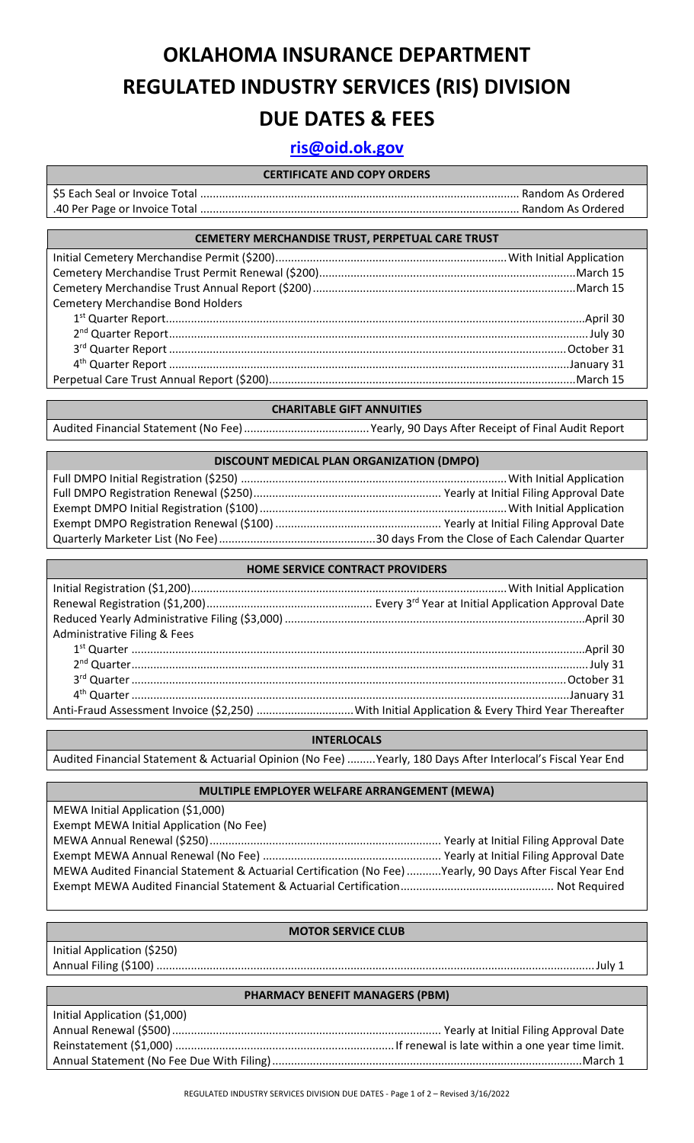# **OKLAHOMA INSURANCE DEPARTMENT REGULATED INDUSTRY SERVICES (RIS) DIVISION DUE DATES & FEES**

### **[ris@oid.ok.gov](mailto:ris@oid.ok.gov)**

#### **CERTIFICATE AND COPY ORDERS**

#### **CEMETERY MERCHANDISE TRUST, PERPETUAL CARE TRUST**

| <b>Cemetery Merchandise Bond Holders</b> |  |
|------------------------------------------|--|
|                                          |  |
|                                          |  |
|                                          |  |
|                                          |  |
|                                          |  |

#### **CHARITABLE GIFT ANNUITIES**

Audited Financial Statement (No Fee)........................................Yearly, 90 Days After Receipt of Final Audit Report

#### **DISCOUNT MEDICAL PLAN ORGANIZATION (DMPO)**

## **HOME SERVICE CONTRACT PROVIDERS**

| Administrative Filing & Fees |  |
|------------------------------|--|
|                              |  |
|                              |  |
|                              |  |
|                              |  |
|                              |  |

#### **INTERLOCALS**

Audited Financial Statement & Actuarial Opinion (No Fee) .........Yearly, 180 Days After Interlocal's Fiscal Year End

#### **MULTIPLE EMPLOYER WELFARE ARRANGEMENT (MEWA)**

MEWA Initial Application (\$1,000) Exempt MEWA Initial Application (No Fee) MEWA Annual Renewal (\$250).......................................................................... Yearly at Initial Filing Approval Date Exempt MEWA Annual Renewal (No Fee) ......................................................... Yearly at Initial Filing Approval Date MEWA Audited Financial Statement & Actuarial Certification (No Fee)...........Yearly, 90 Days After Fiscal Year End Exempt MEWA Audited Financial Statement & Actuarial Certification................................................. Not Required

#### **MOTOR SERVICE CLUB**

Initial Application (\$250) Annual Filing (\$100) ............................................................................................................................................July 1

#### **PHARMACY BENEFIT MANAGERS (PBM)**

| Initial Application (\$1,000) |  |
|-------------------------------|--|
|                               |  |
|                               |  |
|                               |  |